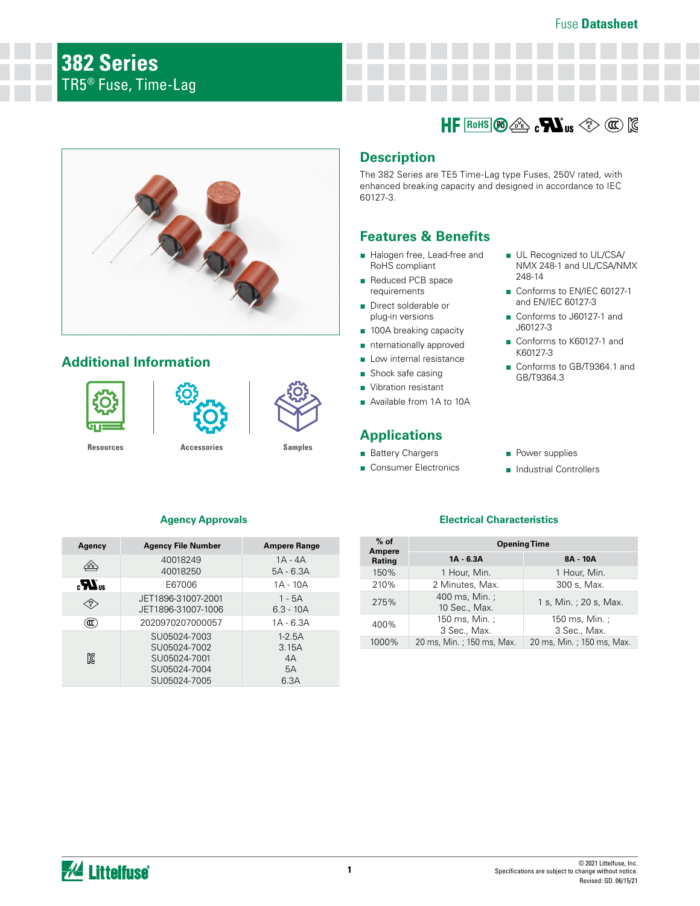

# **Additional Information**







**[Resources](https://www.littelfuse.com/products/fuses/axial-radial-thru-hole-fuses/tr5-fuses/382.aspx#TechnicalResources) [Accessories](https://www.littelfuse.com/products/fuses/axial-radial-thru-hole-fuses/tr5-fuses/382.aspx#EnvironmentalInfo) [Samples](https://www.littelfuse.com/products/fuses/axial-radial-thru-hole-fuses/tr5-fuses/382.aspx#ElectricalCharacteristics)**

# **Description**

The 382 Series are TE5 Time-Lag type Fuses, 250V rated, with enhanced breaking capacity and designed in accordance to IEC 60127-3.

 $R$ oHS $\left(\frac{p_0}{p_0}\right)$   $\leq$   $\leq$   $\leq$   $\leq$   $\leq$   $\leq$   $\leq$   $\leq$   $\leq$   $\leq$   $\leq$   $\leq$   $\leq$   $\leq$   $\leq$   $\leq$   $\leq$   $\leq$   $\leq$   $\leq$   $\leq$   $\leq$   $\leq$   $\leq$   $\leq$   $\leq$   $\leq$   $\leq$   $\leq$   $\leq$   $\leq$   $\leq$   $\leq$ 

# **Features & Benefits**

- Halogen free, Lead-free and RoHS compliant
- Reduced PCB space requirements
- Direct solderable or plug-in versions
- 100A breaking capacity
- nternationally approved
- Low internal resistance
- Shock safe casing
- Vibration resistant
- Available from 1A to 10A

# **Applications**

- Battery Chargers
- Consumer Electronics
- UL Recognized to UL/CSA/ NMX 248-1 and UL/CSA/NMX 248-14
- Conforms to EN/IEC 60127-1 and EN/IEC 60127-3
- Conforms to J60127-1 and J60127-3
- Conforms to K60127-1 and K60127-3
- Conforms to GB/T9364.1 and GB/T9364.3
- Power supplies
- Industrial Controllers

# **Agency Approvals**

| Agency           | <b>Agency File Number</b>                                                    | <b>Ampere Range</b>                     |
|------------------|------------------------------------------------------------------------------|-----------------------------------------|
|                  | 40018249<br>40018250                                                         | $1A - 4A$<br>$5A - 6.3A$                |
| $\boldsymbol{H}$ | E67006                                                                       | 1A - 10A                                |
| ′PS<br>⊾E ⁄      | JET1896-31007-2001<br>JET1896-31007-1006                                     | $1 - 5A$<br>$6.3 - 10A$                 |
| ແ                | 2020970207000057                                                             | $1A - 6.3A$                             |
| ß                | SU05024-7003<br>SU05024-7002<br>SU05024-7001<br>SU05024-7004<br>SU05024-7005 | $1 - 2.5A$<br>3.15A<br>4A<br>5A<br>6.3A |

## **Electrical Characteristics**

| $%$ of<br>Ampere | <b>Opening Time</b>             |                                |  |  |  |
|------------------|---------------------------------|--------------------------------|--|--|--|
| Rating           | $1A - 6.3A$                     | 8A - 10A                       |  |  |  |
| 150%             | 1 Hour, Min.                    | 1 Hour, Min.                   |  |  |  |
| 210%             | 2 Minutes, Max.                 | 300 s, Max.                    |  |  |  |
| 275%             | 400 ms, Min. ;<br>10 Sec., Max. | 1 s, Min.; 20 s, Max.          |  |  |  |
| 400%             | 150 ms, Min. ;<br>3 Sec., Max.  | 150 ms, Min. ;<br>3 Sec., Max. |  |  |  |
| 1000%            | 20 ms, Min. ; 150 ms, Max.      | 20 ms, Min. ; 150 ms, Max.     |  |  |  |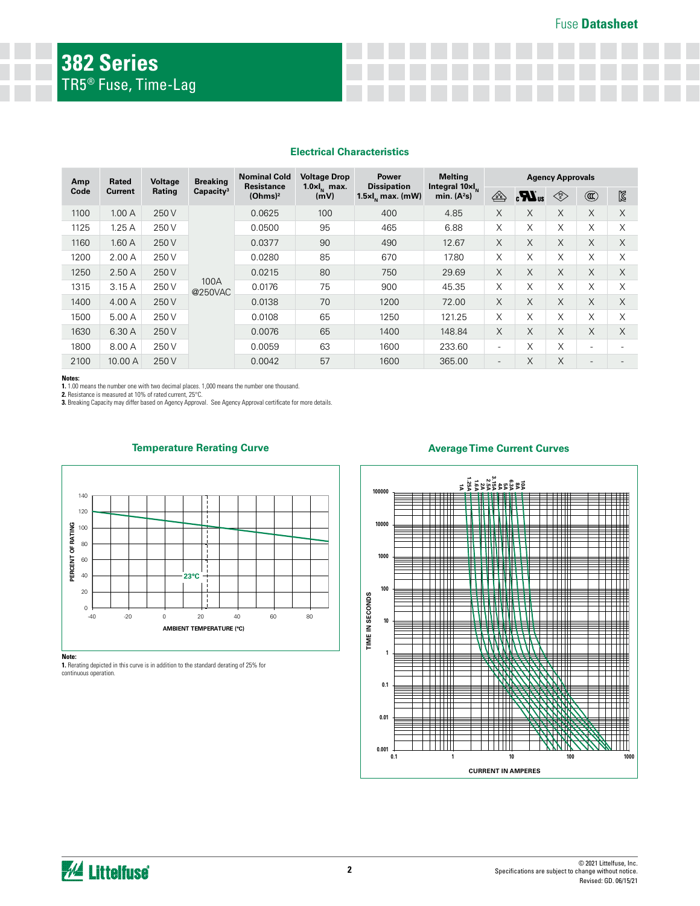### **Electrical Characteristics**

| Amp             | Rated   | Voltage               | <b>Breaking</b>                          | <b>Nominal Cold</b>                                       | <b>Voltage Drop</b>              | Power                                       | <b>Melting</b>                        | <b>Agency Approvals</b>        |                                                                                             |                |                          |          |
|-----------------|---------|-----------------------|------------------------------------------|-----------------------------------------------------------|----------------------------------|---------------------------------------------|---------------------------------------|--------------------------------|---------------------------------------------------------------------------------------------|----------------|--------------------------|----------|
| Code<br>Current | Rating  | Capacity <sup>3</sup> | <b>Resistance</b><br>(Ohms) <sup>2</sup> | <b>Dissipation</b><br>$1.0 \times I_{\rm N}$ max.<br>(mV) | $1.5 \times I_{\rm N}$ max. (mW) | Integral 10xl <sub>N</sub><br>min. $(A^2s)$ | $\overbrace{\mathbb{C}^{\mathbb{C}}}$ | $\boldsymbol{H}$ <sub>us</sub> | $\left\langle \begin{smallmatrix} \mathsf{PS} \ \mathsf{E} \end{smallmatrix} \right\rangle$ | $^{\circledR}$ | $\boxtimes$              |          |
| 1100            | 1.00A   | 250 V                 |                                          | 0.0625                                                    | 100                              | 400                                         | 4.85                                  | $\times$                       | X                                                                                           | $\times$       | $\times$                 | X        |
| 1125            | 1.25A   | 250 V                 |                                          | 0.0500                                                    | 95                               | 465                                         | 6.88                                  | X                              | X                                                                                           | X              | X                        | X        |
| 1160            | 1.60A   | 250 V                 |                                          | 0.0377                                                    | 90                               | 490                                         | 12.67                                 | $\times$                       | X                                                                                           | $\times$       | $\times$                 | $\times$ |
| 1200            | 2.00A   | 250 V                 |                                          | 0.0280                                                    | 85                               | 670                                         | 17.80                                 | X                              | X                                                                                           | X              | X                        | X        |
| 1250            | 2.50A   | 250 V                 |                                          | 0.0215                                                    | 80                               | 750                                         | 29.69                                 | X                              | X                                                                                           | $\times$       | $\times$                 | $\times$ |
| 1315            | 3.15A   | 250 V                 | 100A<br>@250VAC                          | 0.0176                                                    | 75                               | 900                                         | 45.35                                 | X                              | X                                                                                           | X              | X                        | X        |
| 1400            | 4.00 A  | 250 V                 |                                          | 0.0138                                                    | 70                               | 1200                                        | 72.00                                 | $\times$                       | X                                                                                           | $\times$       | $\times$                 | $\times$ |
| 1500            | 5.00 A  | 250 V                 |                                          | 0.0108                                                    | 65                               | 1250                                        | 121.25                                | X                              | X                                                                                           | X              | X                        | X        |
| 1630            | 6.30 A  | 250 V                 |                                          | 0.0076                                                    | 65                               | 1400                                        | 148.84                                | $\times$                       | X                                                                                           | X              | $\times$                 | $\times$ |
| 1800            | 8.00 A  | 250 V                 |                                          | 0.0059                                                    | 63                               | 1600                                        | 233.60                                | $\overline{\phantom{a}}$       | X                                                                                           | X              | $\overline{\phantom{0}}$ |          |
| 2100            | 10.00 A | 250 V                 |                                          | 0.0042                                                    | 57                               | 1600                                        | 365.00                                |                                | X                                                                                           | $\times$       |                          |          |

#### **Notes:**

**1.** 1.00 means the number one with two decimal places. 1,000 means the number one thousand.

**2.** Resistance is measured at 10% of rated current, 25°C. **3.** Breaking Capacity may differ based on Agency Approval. See Agency Approval certificate for more details.



**1.** Rerating depicted in this curve is in addition to the standard derating of 25% for

### **Temperature Rerating Curve**



### **Average Time Current Curves**

continuous operation.